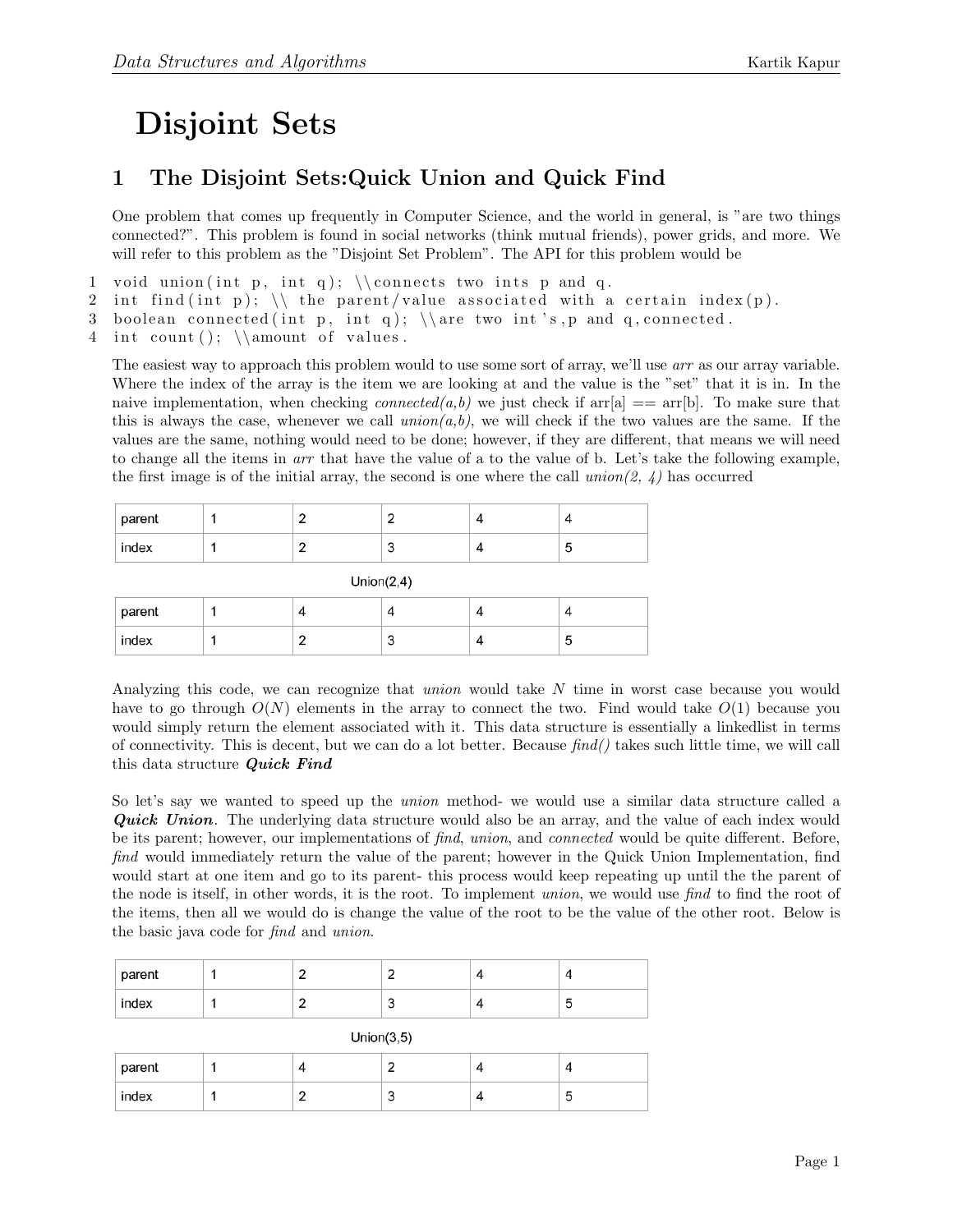## Disjoint Sets

## 1 The Disjoint Sets:Quick Union and Quick Find

One problem that comes up frequently in Computer Science, and the world in general, is "are two things connected?". This problem is found in social networks (think mutual friends), power grids, and more. We will refer to this problem as the "Disjoint Set Problem". The API for this problem would be

1 void union (int p, int q);  $\mathrm{const}$  two ints p and q.

- 2 int find (int p);  $\setminus$  the parent/value associated with a certain index (p).
- 3 boolean connected (int p, int q);  $\arctan \sin t$  s, p and q, connected.

4 int count ();  $\lambda$  of values.

The easiest way to approach this problem would to use some sort of array, we'll use *arr* as our array variable. Where the index of the array is the item we are looking at and the value is the "set" that it is in. In the naive implementation, when checking *connected(a,b)* we just check if  $\text{arr}[a] == \text{arr}[b]$ . To make sure that this is always the case, whenever we call  $union(a,b)$ , we will check if the two values are the same. If the values are the same, nothing would need to be done; however, if they are different, that means we will need to change all the items in arr that have the value of a to the value of b. Let's take the following example, the first image is of the initial array, the second is one where the call  $union(2, 4)$  has occurred

| parent |  |  |                          |
|--------|--|--|--------------------------|
| index  |  |  | $\overline{\phantom{a}}$ |

Union $(2,4)$ 

| parent |  | ↵       |  |
|--------|--|---------|--|
| index  |  | c<br>ັບ |  |

Analyzing this code, we can recognize that union would take N time in worst case because you would have to go through  $O(N)$  elements in the array to connect the two. Find would take  $O(1)$  because you would simply return the element associated with it. This data structure is essentially a linkedlist in terms of connectivity. This is decent, but we can do a lot better. Because  $find()$  takes such little time, we will call this data structure Quick Find

So let's say we wanted to speed up the union method- we would use a similar data structure called a **Quick Union.** The underlying data structure would also be an array, and the value of each index would be its parent; however, our implementations of find, union, and connected would be quite different. Before, find would immediately return the value of the parent; however in the Quick Union Implementation, find would start at one item and go to its parent- this process would keep repeating up until the the parent of the node is itself, in other words, it is the root. To implement union, we would use find to find the root of the items, then all we would do is change the value of the root to be the value of the other root. Below is the basic java code for find and union.

| parent |  |  |  |
|--------|--|--|--|
| index  |  |  |  |

| Union $(3,5)$ |  |   |   |  |   |  |
|---------------|--|---|---|--|---|--|
| parent        |  |   |   |  |   |  |
| index         |  | ▃ | U |  | C |  |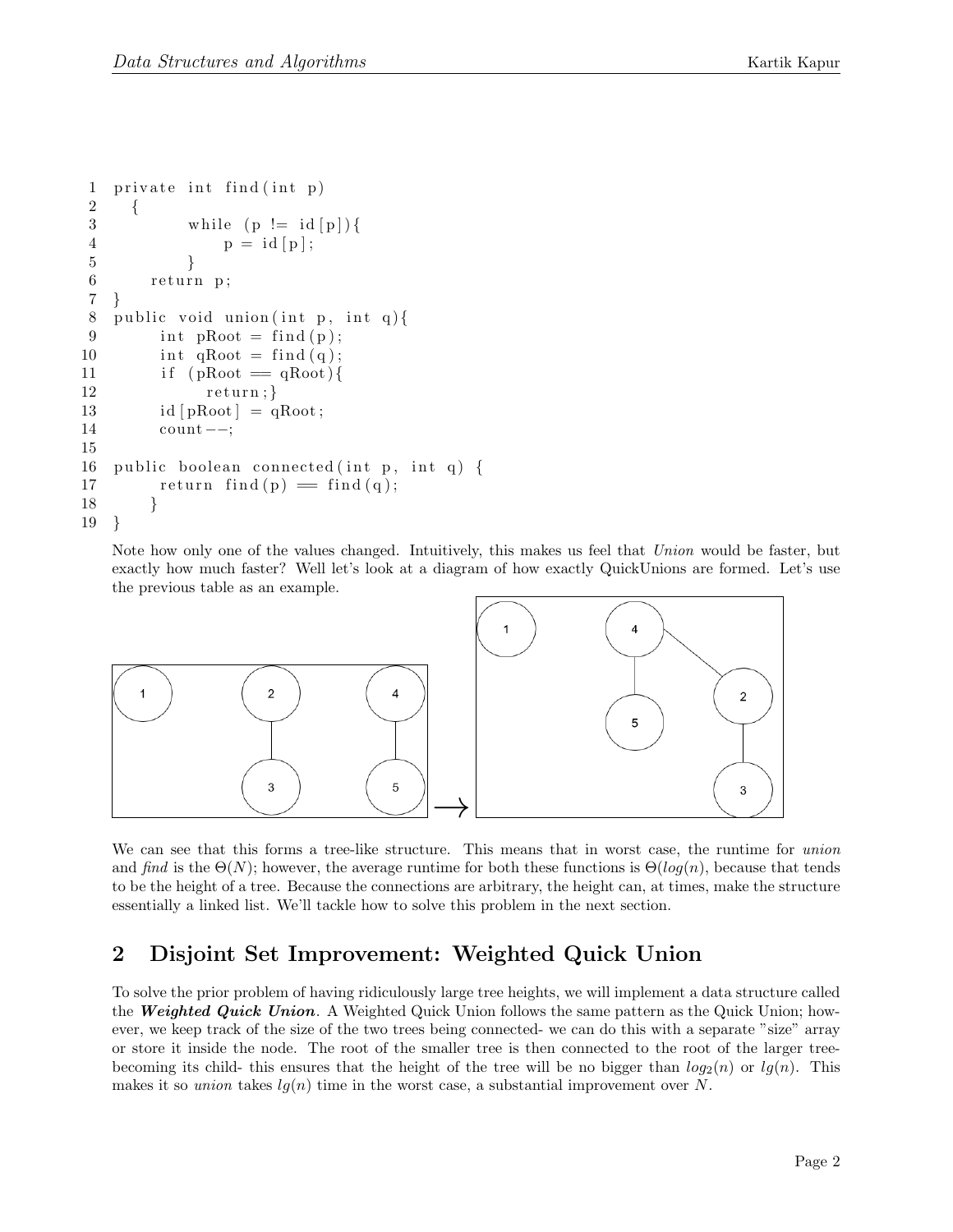```
1 private int find (int p)2 {
3 while (p := id[p]) {
4 p = id [p];5 }
6 return p;
7 }
8 public void union (int p, int q) {
9 int pRoot = find(p);10 int qRoot = find(q);11 if (pRoot = qRoot){
12 \quad \text{return};13 id [pRoot] = qRoot;14 count−−;
15
16 public boolean connected (int p, int q) {
17 return find (p) = \text{find } (q);
18 }
19 }
```
Note how only one of the values changed. Intuitively, this makes us feel that Union would be faster, but exactly how much faster? Well let's look at a diagram of how exactly QuickUnions are formed. Let's use the previous table as an example.



We can see that this forms a tree-like structure. This means that in worst case, the runtime for union and find is the  $\Theta(N)$ ; however, the average runtime for both these functions is  $\Theta(log(n))$ , because that tends to be the height of a tree. Because the connections are arbitrary, the height can, at times, make the structure essentially a linked list. We'll tackle how to solve this problem in the next section.

## 2 Disjoint Set Improvement: Weighted Quick Union

To solve the prior problem of having ridiculously large tree heights, we will implement a data structure called the **Weighted Quick Union**. A Weighted Quick Union follows the same pattern as the Quick Union; however, we keep track of the size of the two trees being connected- we can do this with a separate "size" array or store it inside the node. The root of the smaller tree is then connected to the root of the larger treebecoming its child- this ensures that the height of the tree will be no bigger than  $log_2(n)$  or  $lq(n)$ . This makes it so union takes  $lg(n)$  time in the worst case, a substantial improvement over N.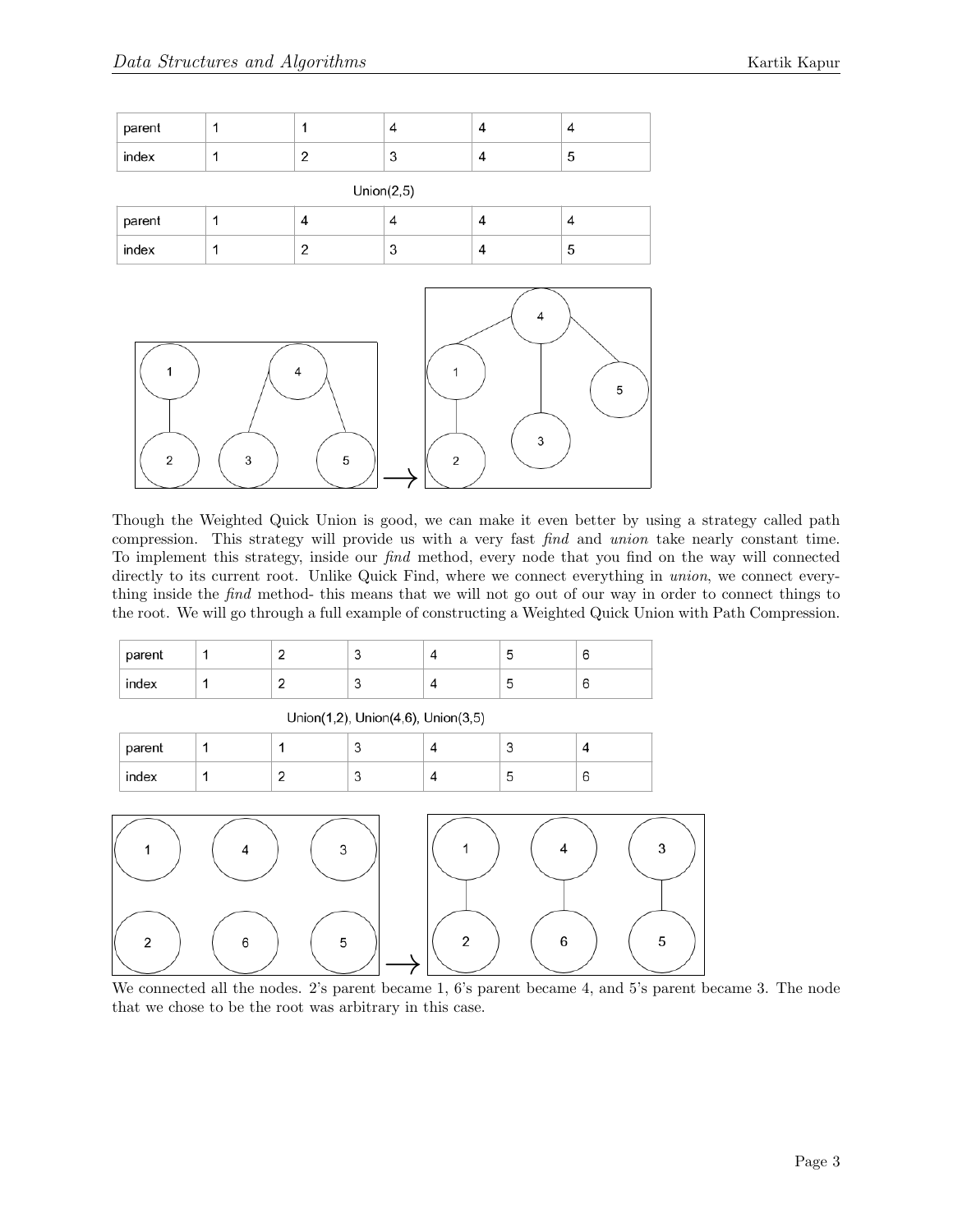| parent |  |                           |  |
|--------|--|---------------------------|--|
| index  |  | r<br>$\ddot{\phantom{1}}$ |  |

| Union $(2,5)$ |  |   |        |  |   |  |
|---------------|--|---|--------|--|---|--|
| parent        |  |   | ٠      |  |   |  |
| index         |  | - | c<br>J |  | ັ |  |



Though the Weighted Quick Union is good, we can make it even better by using a strategy called path compression. This strategy will provide us with a very fast find and union take nearly constant time. To implement this strategy, inside our find method, every node that you find on the way will connected directly to its current root. Unlike Quick Find, where we connect everything in union, we connect everything inside the find method- this means that we will not go out of our way in order to connect things to the root. We will go through a full example of constructing a Weighted Quick Union with Path Compression.

| parent |  |  |  |
|--------|--|--|--|
| index  |  |  |  |

Union(1,2), Union(4,6), Union(3,5)

| parent |  | $\sim$ | v |  |
|--------|--|--------|---|--|
| index  |  | ◡      | ັ |  |



We connected all the nodes. 2's parent became 1, 6's parent became 4, and 5's parent became 3. The node that we chose to be the root was arbitrary in this case.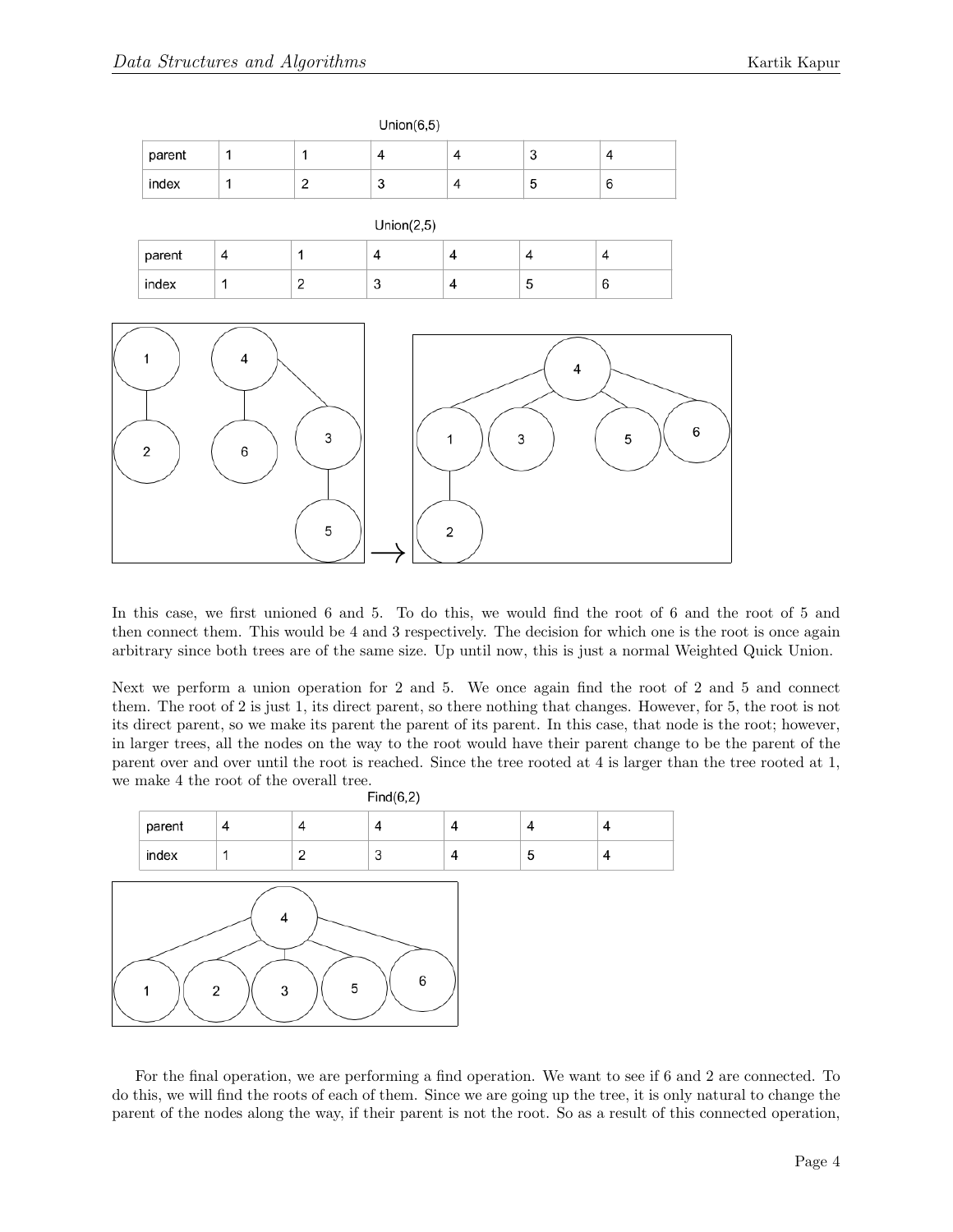|                     |              |             | O(100)(O,O)               |                         |                         |                         |
|---------------------|--------------|-------------|---------------------------|-------------------------|-------------------------|-------------------------|
| parent              | $\mathbf 1$  | $\mathbf 1$ | $\sqrt{4}$                | $\sqrt{4}$              | $\mathsf 3$             | $\pmb{4}$               |
| index               | $\mathbf 1$  | $\sqrt{2}$  | $\ensuremath{\mathsf{3}}$ | $\overline{\mathbf{4}}$ | 5                       | 6                       |
|                     |              |             | Union(2,5)                |                         |                         |                         |
| parent              | $\sqrt{4}$   | $\mathbf 1$ | $\overline{4}$            | 4                       | $\overline{\mathbf{4}}$ | $\overline{\mathbf{4}}$ |
| index               | $\mathbf{1}$ | $\mathbf 2$ | $\mathsf 3$               | $\pmb{4}$               | $\mathbf 5$             | 6                       |
|                     |              |             |                           |                         |                         |                         |
| 1<br>$\overline{2}$ | 4<br>6       | 3<br>5      |                           | 1<br>$\sqrt{2}$         | 4<br>3                  | 6<br>$\,$ 5 $\,$        |

 $I \nleftarrow (C E)$ 

In this case, we first unioned 6 and 5. To do this, we would find the root of 6 and the root of 5 and then connect them. This would be 4 and 3 respectively. The decision for which one is the root is once again arbitrary since both trees are of the same size. Up until now, this is just a normal Weighted Quick Union.

Next we perform a union operation for 2 and 5. We once again find the root of 2 and 5 and connect them. The root of 2 is just 1, its direct parent, so there nothing that changes. However, for 5, the root is not its direct parent, so we make its parent the parent of its parent. In this case, that node is the root; however, in larger trees, all the nodes on the way to the root would have their parent change to be the parent of the parent over and over until the root is reached. Since the tree rooted at 4 is larger than the tree rooted at 1, we make 4 the root of the overall tree.<br> $Find(6,2)$ 



For the final operation, we are performing a find operation. We want to see if 6 and 2 are connected. To do this, we will find the roots of each of them. Since we are going up the tree, it is only natural to change the parent of the nodes along the way, if their parent is not the root. So as a result of this connected operation,